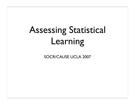# Assessing Statistical Learning

SOCR/CAUSE UCLA 2007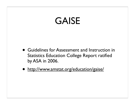## GAISE

- Guidelines for Assessment and Instruction in Statistics Education College Report ratified by ASA in 2006.
- http://www.amstat.org/education/gaise/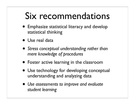## Six recommendations

- Emphasize statistical literacy and develop statistical thinking
- Use real data
- *• Stress conceptual understanding rather than mere knowledge of procedures*
- Foster active learning in the classroom
- Use technology for developing conceptual understanding and analyzing data
- *• Use assessments to improve and evaluate student learning*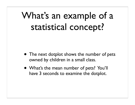## What's an example of a statistical concept?

- The next dotplot shows the number of pets owned by children in a small class.
- What's the mean number of pets? You'll have 3 seconds to examine the dotplot.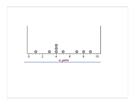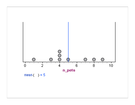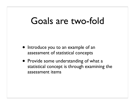#### Goals are two-fold

- Introduce you to an example of an assessment of statistical concepts
- Provide some understanding of what a statistical concept is through examining the assessment items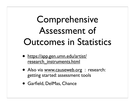# Comprehensive Assessment of Outcomes in Statistics

- https://app.gen.umn.edu/artist/ research\_instruments.html
- Also via www.causeweb.org : research: getting started: assessment tools
- Garfield, DelMas, Chance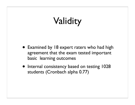# Validity

- Examined by 18 expert raters who had high agreement that the exam tested important basic learning outcomes
- Internal consistency based on testing 1028 students (Cronbach alpha 0.77)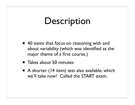#### **Description**

- 40 items that focus on reasoning with and about variability (which was identified as the major theme of a first course.)
- Takes about 50 minutes
- A shorter (14 item) test also available, which we'll take now! Called the START exam.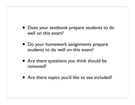- Does your textbook prepare students to do well on this exam?
- Do your homework assignments prepare students to do well on this exam?
- Are there questions you think should be removed?
- Are there topics you'd like to see included?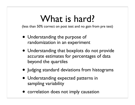## What is hard?

(less than 50% correct on post test and no gain from pre test)

- Understanding the purpose of randomization in an experiment
- Understanding that boxplots do not provide accurate estimates for percentages of data beyond the quartiles
- Judging standard deviations from histograms
- Understanding expected patterns in sampling variability
- correlation does not imply causation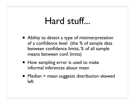#### Hard stuff...

- Ability to detect a type of misinterpretation of a confidence level (the % of sample data between confidence limits, % of all sample means between conf. limits)
- How sampling error is used to make informal inferences about mean
- Median > mean suggests distribution skewed left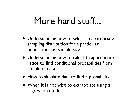#### More hard stuff...

- Understanding how to select an appropriate sampling distribution for a particular population and sample size.
- Understanding how to calculate appropriate ratios to find conditional probabilities from a table of data
- How to simulate data to find a probability
- When it is not wise to extrapolate using a regression model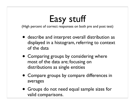# Easy stuff

(High percent of correct responses on both pre and post test)

- describe and interpret overall distribution as displayed in a histogram, referring to context of the data
- Comparing groups by considering where most of the data are; focusing on distributions as single entities
- Compare groups by compare differences in averages
- Groups do not need equal sample sizes for valid comparisons.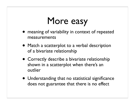## More easy

- meaning of variability in context of repeated measurements
- Match a scatterplot to a verbal description of a bivariate relationship
- Correctly describe a bivariate relationship shown in a scatterplot when there's an outlier
- Understanding that no statistical significance does not guarantee that there is no effect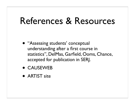#### References & Resources

- "Assessing students' conceptual understanding after a first course in statistics", DelMas, Garfield, Ooms, Chance, accepted for publication in SERJ.
- CAUSEWEB
- ARTIST site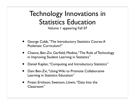#### Technology Innovations in Statistics Education

Volume 1 appearing Fall 07

- George Cobb,"The Introductory Statistics Course:A Ptolemaic Curriculum?"
- Chance, Ben-Zvi, Garfield, Medina, "The Role of Technology in Improving Student Learning in Statistics"
- Daniel Kaplan,"Computing and Introductory Statistics"
- Dani Ben-Zvi,"Using Wiki to Promote Collaborative Learning in Statistics Education"
- Finzer, Erickson, Swenson, Litwin,"Data Into the Classroom"